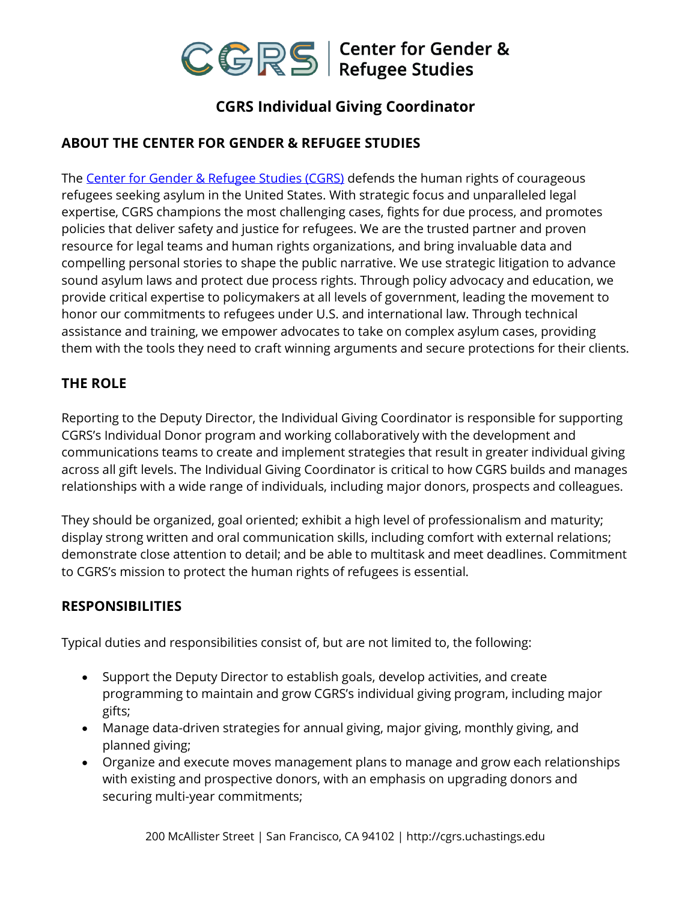

# **CGRS Individual Giving Coordinator**

# **ABOUT THE CENTER FOR GENDER & REFUGEE STUDIES**

The [Center for Gender & Refugee Studies \(CGRS\)](https://cgrs.uchastings.edu/) defends the human rights of courageous refugees seeking asylum in the United States. With strategic focus and unparalleled legal expertise, CGRS champions the most challenging cases, fights for due process, and promotes policies that deliver safety and justice for refugees. We are the trusted partner and proven resource for legal teams and human rights organizations, and bring invaluable data and compelling personal stories to shape the public narrative. We use strategic litigation to advance sound asylum laws and protect due process rights. Through policy advocacy and education, we provide critical expertise to policymakers at all levels of government, leading the movement to honor our commitments to refugees under U.S. and international law. Through technical assistance and training, we empower advocates to take on complex asylum cases, providing them with the tools they need to craft winning arguments and secure protections for their clients.

# **THE ROLE**

Reporting to the Deputy Director, the Individual Giving Coordinator is responsible for supporting CGRS's Individual Donor program and working collaboratively with the development and communications teams to create and implement strategies that result in greater individual giving across all gift levels. The Individual Giving Coordinator is critical to how CGRS builds and manages relationships with a wide range of individuals, including major donors, prospects and colleagues.

They should be organized, goal oriented; exhibit a high level of professionalism and maturity; display strong written and oral communication skills, including comfort with external relations; demonstrate close attention to detail; and be able to multitask and meet deadlines. Commitment to CGRS's mission to protect the human rights of refugees is essential.

## **RESPONSIBILITIES**

Typical duties and responsibilities consist of, but are not limited to, the following:

- Support the Deputy Director to establish goals, develop activities, and create programming to maintain and grow CGRS's individual giving program, including major gifts;
- Manage data-driven strategies for annual giving, major giving, monthly giving, and planned giving;
- Organize and execute moves management plans to manage and grow each relationships with existing and prospective donors, with an emphasis on upgrading donors and securing multi-year commitments;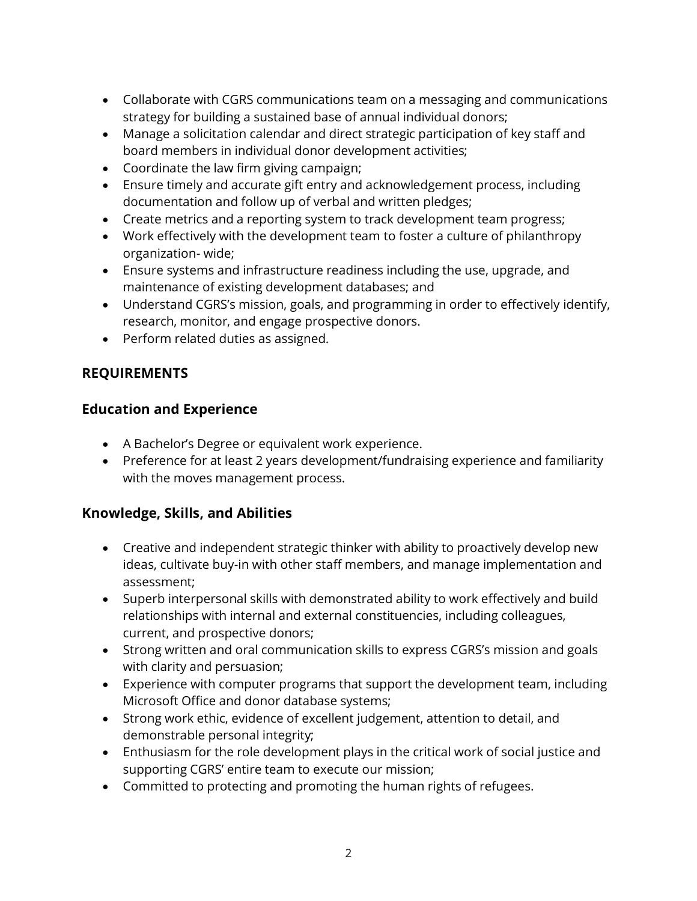- Collaborate with CGRS communications team on a messaging and communications strategy for building a sustained base of annual individual donors;
- Manage a solicitation calendar and direct strategic participation of key staff and board members in individual donor development activities;
- Coordinate the law firm giving campaign;
- Ensure timely and accurate gift entry and acknowledgement process, including documentation and follow up of verbal and written pledges;
- Create metrics and a reporting system to track development team progress;
- Work effectively with the development team to foster a culture of philanthropy organization- wide;
- Ensure systems and infrastructure readiness including the use, upgrade, and maintenance of existing development databases; and
- Understand CGRS's mission, goals, and programming in order to effectively identify, research, monitor, and engage prospective donors.
- Perform related duties as assigned.

# **REQUIREMENTS**

## **Education and Experience**

- A Bachelor's Degree or equivalent work experience.
- Preference for at least 2 years development/fundraising experience and familiarity with the moves management process.

## **Knowledge, Skills, and Abilities**

- Creative and independent strategic thinker with ability to proactively develop new ideas, cultivate buy-in with other staff members, and manage implementation and assessment;
- Superb interpersonal skills with demonstrated ability to work effectively and build relationships with internal and external constituencies, including colleagues, current, and prospective donors;
- Strong written and oral communication skills to express CGRS's mission and goals with clarity and persuasion;
- Experience with computer programs that support the development team, including Microsoft Office and donor database systems;
- Strong work ethic, evidence of excellent judgement, attention to detail, and demonstrable personal integrity;
- Enthusiasm for the role development plays in the critical work of social justice and supporting CGRS' entire team to execute our mission;
- Committed to protecting and promoting the human rights of refugees.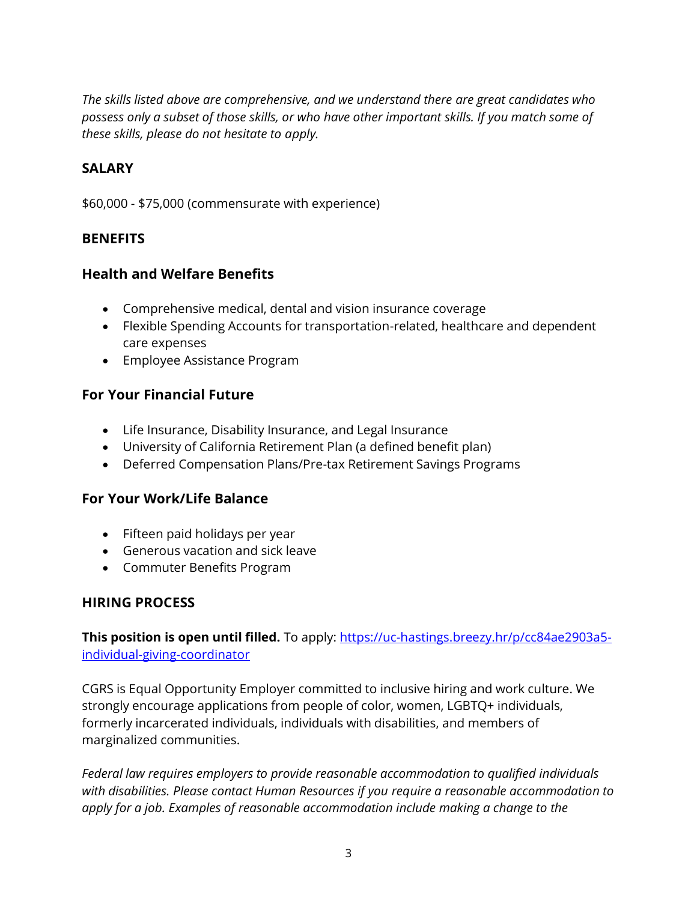*The skills listed above are comprehensive, and we understand there are great candidates who possess only a subset of those skills, or who have other important skills. If you match some of these skills, please do not hesitate to apply.*

#### **SALARY**

\$60,000 - \$75,000 (commensurate with experience)

#### **BENEFITS**

#### **Health and Welfare Benefits**

- Comprehensive medical, dental and vision insurance coverage
- Flexible Spending Accounts for transportation-related, healthcare and dependent care expenses
- Employee Assistance Program

#### **For Your Financial Future**

- Life Insurance, Disability Insurance, and Legal Insurance
- University of California Retirement Plan (a defined benefit plan)
- Deferred Compensation Plans/Pre-tax Retirement Savings Programs

#### **For Your Work/Life Balance**

- Fifteen paid holidays per year
- Generous vacation and sick leave
- Commuter Benefits Program

## **HIRING PROCESS**

**This position is open until filled.** To apply: [https://uc-hastings.breezy.hr/p/cc84ae2903a5](https://uc-hastings.breezy.hr/p/cc84ae2903a5-individual-giving-coordinator) [individual-giving-coordinator](https://uc-hastings.breezy.hr/p/cc84ae2903a5-individual-giving-coordinator)

CGRS is Equal Opportunity Employer committed to inclusive hiring and work culture. We strongly encourage applications from people of color, women, LGBTQ+ individuals, formerly incarcerated individuals, individuals with disabilities, and members of marginalized communities.

*Federal law requires employers to provide reasonable accommodation to qualified individuals with disabilities. Please contact Human Resources if you require a reasonable accommodation to apply for a job. Examples of reasonable accommodation include making a change to the*